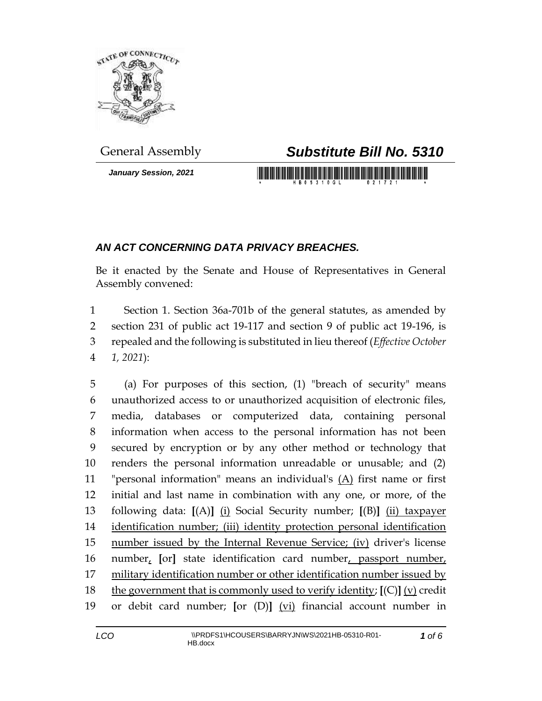

*January Session, 2021*

## General Assembly *Substitute Bill No. 5310*

<u> 1989 - An Dùbhlachd Marwrig Marwr a 1999 - An Dùbhair An Dùbhlachd Marwr a 1999 - An Dùbhlachd Marwr a 1999 - </u>

## *AN ACT CONCERNING DATA PRIVACY BREACHES.*

Be it enacted by the Senate and House of Representatives in General Assembly convened:

 Section 1. Section 36a-701b of the general statutes, as amended by section 231 of public act 19-117 and section 9 of public act 19-196, is repealed and the following is substituted in lieu thereof (*Effective October 1, 2021*):

 (a) For purposes of this section, (1) "breach of security" means unauthorized access to or unauthorized acquisition of electronic files, media, databases or computerized data, containing personal information when access to the personal information has not been secured by encryption or by any other method or technology that renders the personal information unreadable or unusable; and (2) "personal information" means an individual's (A) first name or first initial and last name in combination with any one, or more, of the following data: **[**(A)**]** (i) Social Security number; **[**(B)**]** (ii) taxpayer identification number; (iii) identity protection personal identification 15 number issued by the Internal Revenue Service; (iv) driver's license number, **[**or**]** state identification card number, passport number, military identification number or other identification number issued by the government that is commonly used to verify identity; **[**(C)**]** (v) credit or debit card number; **[**or (D)**]** (vi) financial account number in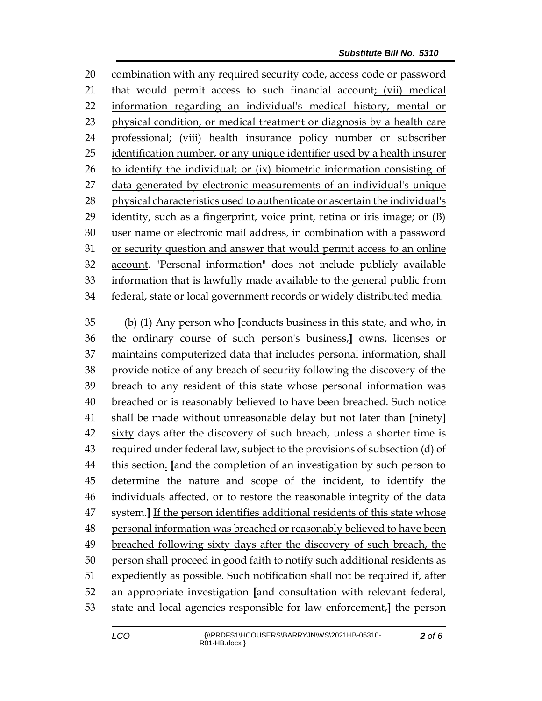combination with any required security code, access code or password that would permit access to such financial account; (vii) medical information regarding an individual's medical history, mental or physical condition, or medical treatment or diagnosis by a health care professional; (viii) health insurance policy number or subscriber 25 identification number, or any unique identifier used by a health insurer to identify the individual; or (ix) biometric information consisting of data generated by electronic measurements of an individual's unique physical characteristics used to authenticate or ascertain the individual's identity, such as a fingerprint, voice print, retina or iris image; or (B) user name or electronic mail address, in combination with a password or security question and answer that would permit access to an online account. "Personal information" does not include publicly available information that is lawfully made available to the general public from federal, state or local government records or widely distributed media.

 (b) (1) Any person who **[**conducts business in this state, and who, in the ordinary course of such person's business,**]** owns, licenses or maintains computerized data that includes personal information, shall provide notice of any breach of security following the discovery of the breach to any resident of this state whose personal information was breached or is reasonably believed to have been breached. Such notice shall be made without unreasonable delay but not later than **[**ninety**]** sixty days after the discovery of such breach, unless a shorter time is required under federal law, subject to the provisions of subsection (d) of this section. **[**and the completion of an investigation by such person to determine the nature and scope of the incident, to identify the individuals affected, or to restore the reasonable integrity of the data system.**]** If the person identifies additional residents of this state whose 48 personal information was breached or reasonably believed to have been 49 breached following sixty days after the discovery of such breach, the person shall proceed in good faith to notify such additional residents as expediently as possible. Such notification shall not be required if, after an appropriate investigation **[**and consultation with relevant federal, state and local agencies responsible for law enforcement,**]** the person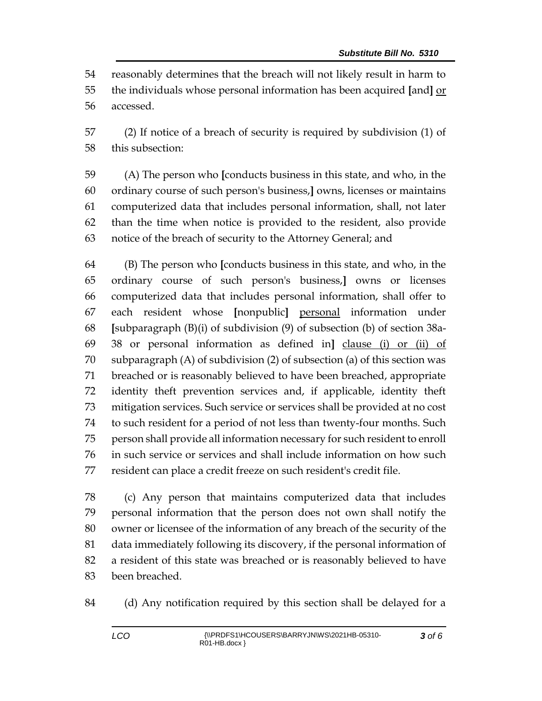reasonably determines that the breach will not likely result in harm to the individuals whose personal information has been acquired **[**and**]** or accessed.

 (2) If notice of a breach of security is required by subdivision (1) of this subsection:

 (A) The person who **[**conducts business in this state, and who, in the ordinary course of such person's business,**]** owns, licenses or maintains computerized data that includes personal information, shall, not later than the time when notice is provided to the resident, also provide notice of the breach of security to the Attorney General; and

 (B) The person who **[**conducts business in this state, and who, in the ordinary course of such person's business,**]** owns or licenses computerized data that includes personal information, shall offer to each resident whose **[**nonpublic**]** personal information under **[**subparagraph (B)(i) of subdivision (9) of subsection (b) of section 38a- 38 or personal information as defined in**]** clause (i) or (ii) of subparagraph (A) of subdivision (2) of subsection (a) of this section was breached or is reasonably believed to have been breached, appropriate identity theft prevention services and, if applicable, identity theft mitigation services. Such service or services shall be provided at no cost to such resident for a period of not less than twenty-four months. Such person shall provide all information necessary for such resident to enroll in such service or services and shall include information on how such resident can place a credit freeze on such resident's credit file.

 (c) Any person that maintains computerized data that includes personal information that the person does not own shall notify the owner or licensee of the information of any breach of the security of the data immediately following its discovery, if the personal information of a resident of this state was breached or is reasonably believed to have been breached.

(d) Any notification required by this section shall be delayed for a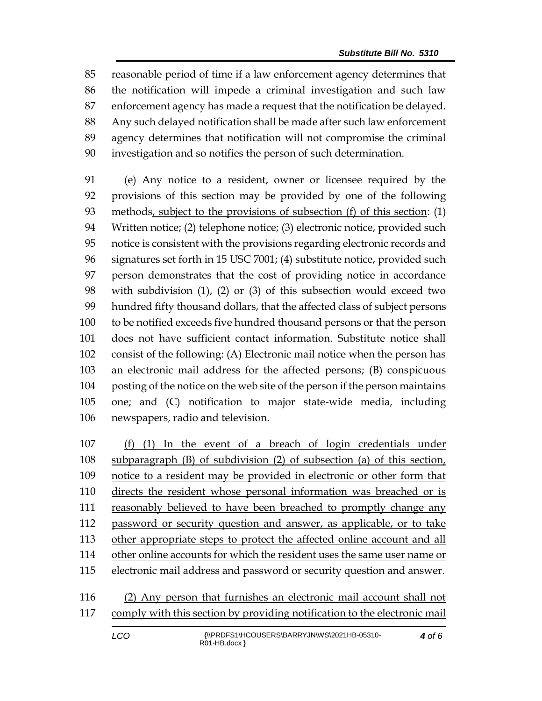reasonable period of time if a law enforcement agency determines that the notification will impede a criminal investigation and such law enforcement agency has made a request that the notification be delayed. Any such delayed notification shall be made after such law enforcement agency determines that notification will not compromise the criminal investigation and so notifies the person of such determination.

 (e) Any notice to a resident, owner or licensee required by the provisions of this section may be provided by one of the following methods, subject to the provisions of subsection (f) of this section: (1) Written notice; (2) telephone notice; (3) electronic notice, provided such notice is consistent with the provisions regarding electronic records and signatures set forth in 15 USC 7001; (4) substitute notice, provided such person demonstrates that the cost of providing notice in accordance with subdivision (1), (2) or (3) of this subsection would exceed two hundred fifty thousand dollars, that the affected class of subject persons to be notified exceeds five hundred thousand persons or that the person does not have sufficient contact information. Substitute notice shall consist of the following: (A) Electronic mail notice when the person has an electronic mail address for the affected persons; (B) conspicuous posting of the notice on the web site of the person if the person maintains one; and (C) notification to major state-wide media, including newspapers, radio and television.

 (f) (1) In the event of a breach of login credentials under subparagraph (B) of subdivision (2) of subsection (a) of this section, notice to a resident may be provided in electronic or other form that directs the resident whose personal information was breached or is reasonably believed to have been breached to promptly change any 112 password or security question and answer, as applicable, or to take 113 other appropriate steps to protect the affected online account and all other online accounts for which the resident uses the same user name or electronic mail address and password or security question and answer.

 (2) Any person that furnishes an electronic mail account shall not comply with this section by providing notification to the electronic mail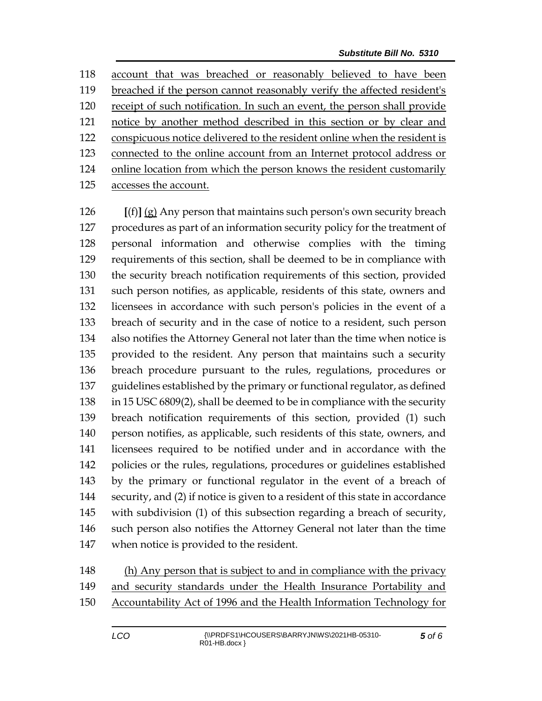account that was breached or reasonably believed to have been breached if the person cannot reasonably verify the affected resident's receipt of such notification. In such an event, the person shall provide notice by another method described in this section or by clear and conspicuous notice delivered to the resident online when the resident is connected to the online account from an Internet protocol address or online location from which the person knows the resident customarily accesses the account.

 **[**(f)**]** (g) Any person that maintains such person's own security breach procedures as part of an information security policy for the treatment of personal information and otherwise complies with the timing requirements of this section, shall be deemed to be in compliance with the security breach notification requirements of this section, provided such person notifies, as applicable, residents of this state, owners and licensees in accordance with such person's policies in the event of a breach of security and in the case of notice to a resident, such person also notifies the Attorney General not later than the time when notice is provided to the resident. Any person that maintains such a security breach procedure pursuant to the rules, regulations, procedures or guidelines established by the primary or functional regulator, as defined in 15 USC 6809(2), shall be deemed to be in compliance with the security breach notification requirements of this section, provided (1) such person notifies, as applicable, such residents of this state, owners, and licensees required to be notified under and in accordance with the policies or the rules, regulations, procedures or guidelines established by the primary or functional regulator in the event of a breach of security, and (2) if notice is given to a resident of this state in accordance with subdivision (1) of this subsection regarding a breach of security, such person also notifies the Attorney General not later than the time when notice is provided to the resident.

 (h) Any person that is subject to and in compliance with the privacy and security standards under the Health Insurance Portability and Accountability Act of 1996 and the Health Information Technology for